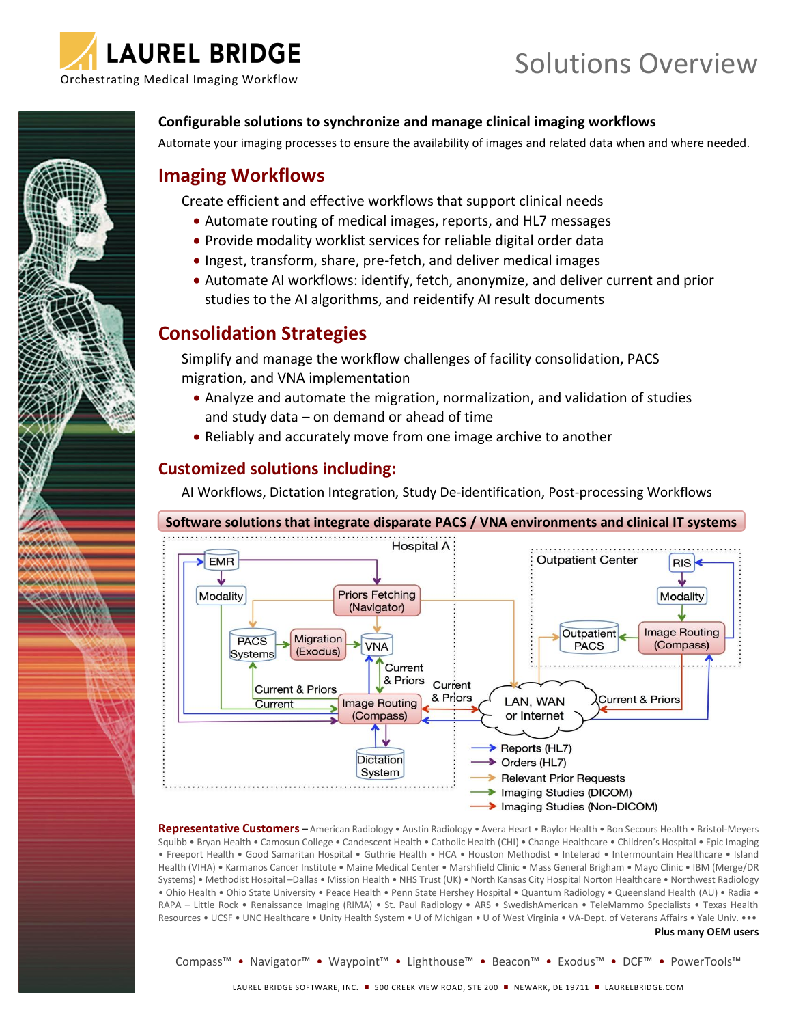

**MOMORATORY** 

*<u>ANDALLANALLE</u> <u>AMARA AMARAS</u>* 

# Solutions Overview

**Configurable solutions to synchronize and manage clinical imaging workflows**

Automate your imaging processes to ensure the availability of images and related data when and where needed.

## **Imaging Workflows**

Create efficient and effective workflows that support clinical needs

- Automate routing of medical images, reports, and HL7 messages
- Provide modality worklist services for reliable digital order data
- Ingest, transform, share, pre-fetch, and deliver medical images
- Automate AI workflows: identify, fetch, anonymize, and deliver current and prior studies to the AI algorithms, and reidentify AI result documents

## **Consolidation Strategies**

Simplify and manage the workflow challenges of facility consolidation, PACS migration, and VNA implementation

- Analyze and automate the migration, normalization, and validation of studies and study data – on demand or ahead of time
- Reliably and accurately move from one image archive to another

## **Customized solutions including:**

AI Workflows, Dictation Integration, Study De-identification, Post-processing Workflows



**Representative Customers** – American Radiology • Austin Radiology • Avera Heart • Baylor Health • Bon Secours Health • Bristol-Meyers Squibb • Bryan Health • Camosun College • Candescent Health • Catholic Health (CHI) • Change Healthcare • Children's Hospital • Epic Imaging • Freeport Health • Good Samaritan Hospital • Guthrie Health • HCA • Houston Methodist • Intelerad • Intermountain Healthcare • Island Health (VIHA) • Karmanos Cancer Institute • Maine Medical Center • Marshfield Clinic • Mass General Brigham • Mayo Clinic • IBM (Merge/DR Systems) • Methodist Hospital –Dallas • Mission Health • NHS Trust (UK) • North Kansas City Hospital Norton Healthcare • Northwest Radiology • Ohio Health • Ohio State University • Peace Health • Penn State Hershey Hospital • Quantum Radiology • Queensland Health (AU) • Radia • RAPA – Little Rock • Renaissance Imaging (RIMA) • St. Paul Radiology • ARS • SwedishAmerican • TeleMammo Specialists • Texas Health Resources • UCSF • UNC Healthcare • Unity Health System • U of Michigan • U of West Virginia • VA-Dept. of Veterans Affairs • Yale Univ. •••

#### **Plus many OEM users**

Compass™ • Navigator™ • Waypoint™ • Lighthouse™ • Beacon™ • Exodus™ • DCF™ • PowerTools™